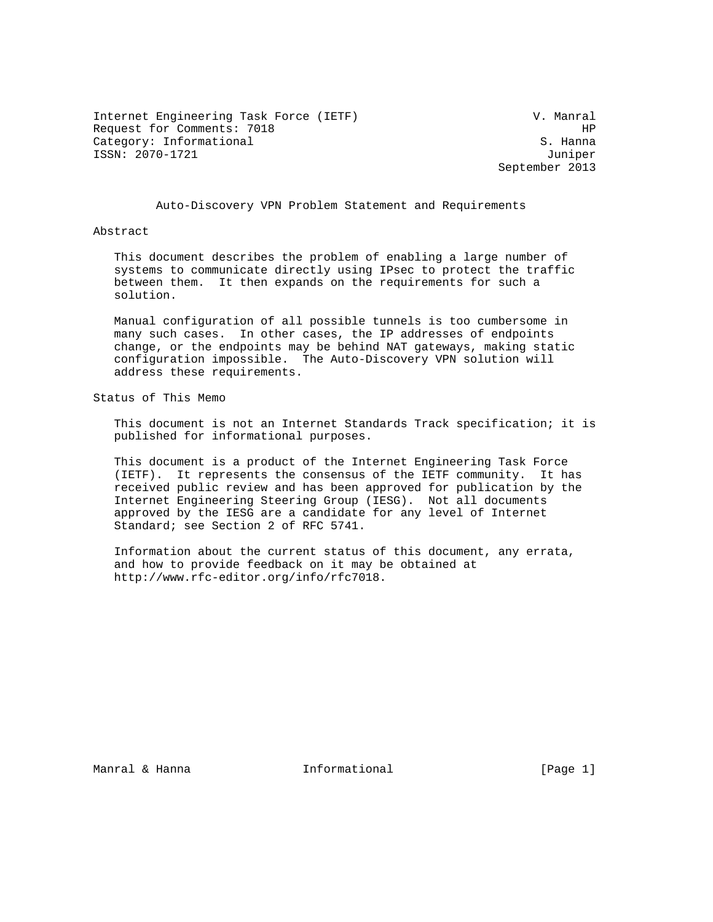Internet Engineering Task Force (IETF) V. Manral Request for Comments: 7018 HP Category: Informational S. Hanna ISSN: 2070-1721 Juniper

September 2013

Auto-Discovery VPN Problem Statement and Requirements

#### Abstract

 This document describes the problem of enabling a large number of systems to communicate directly using IPsec to protect the traffic between them. It then expands on the requirements for such a solution.

 Manual configuration of all possible tunnels is too cumbersome in many such cases. In other cases, the IP addresses of endpoints change, or the endpoints may be behind NAT gateways, making static configuration impossible. The Auto-Discovery VPN solution will address these requirements.

Status of This Memo

 This document is not an Internet Standards Track specification; it is published for informational purposes.

 This document is a product of the Internet Engineering Task Force (IETF). It represents the consensus of the IETF community. It has received public review and has been approved for publication by the Internet Engineering Steering Group (IESG). Not all documents approved by the IESG are a candidate for any level of Internet Standard; see Section 2 of RFC 5741.

 Information about the current status of this document, any errata, and how to provide feedback on it may be obtained at http://www.rfc-editor.org/info/rfc7018.

Manral & Hanna  $\qquad \qquad$  Informational  $\qquad \qquad$  [Page 1]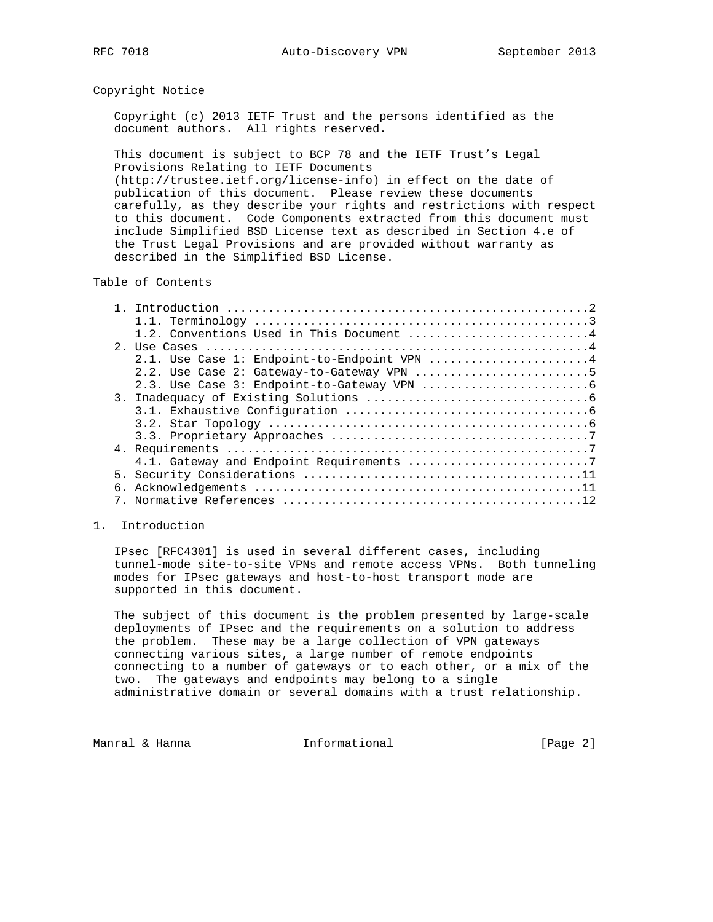## Copyright Notice

 Copyright (c) 2013 IETF Trust and the persons identified as the document authors. All rights reserved.

 This document is subject to BCP 78 and the IETF Trust's Legal Provisions Relating to IETF Documents

 (http://trustee.ietf.org/license-info) in effect on the date of publication of this document. Please review these documents carefully, as they describe your rights and restrictions with respect to this document. Code Components extracted from this document must include Simplified BSD License text as described in Section 4.e of the Trust Legal Provisions and are provided without warranty as described in the Simplified BSD License.

## Table of Contents

|  | 1.2. Conventions Used in This Document 4    |  |
|--|---------------------------------------------|--|
|  |                                             |  |
|  | 2.1. Use Case 1: Endpoint-to-Endpoint VPN 4 |  |
|  | 2.2. Use Case 2: Gateway-to-Gateway VPN 5   |  |
|  |                                             |  |
|  |                                             |  |
|  |                                             |  |
|  |                                             |  |
|  |                                             |  |
|  |                                             |  |
|  |                                             |  |
|  |                                             |  |
|  |                                             |  |
|  |                                             |  |

## 1. Introduction

 IPsec [RFC4301] is used in several different cases, including tunnel-mode site-to-site VPNs and remote access VPNs. Both tunneling modes for IPsec gateways and host-to-host transport mode are supported in this document.

 The subject of this document is the problem presented by large-scale deployments of IPsec and the requirements on a solution to address the problem. These may be a large collection of VPN gateways connecting various sites, a large number of remote endpoints connecting to a number of gateways or to each other, or a mix of the two. The gateways and endpoints may belong to a single administrative domain or several domains with a trust relationship.

Manral & Hanna **Informational** 1. [Page 2]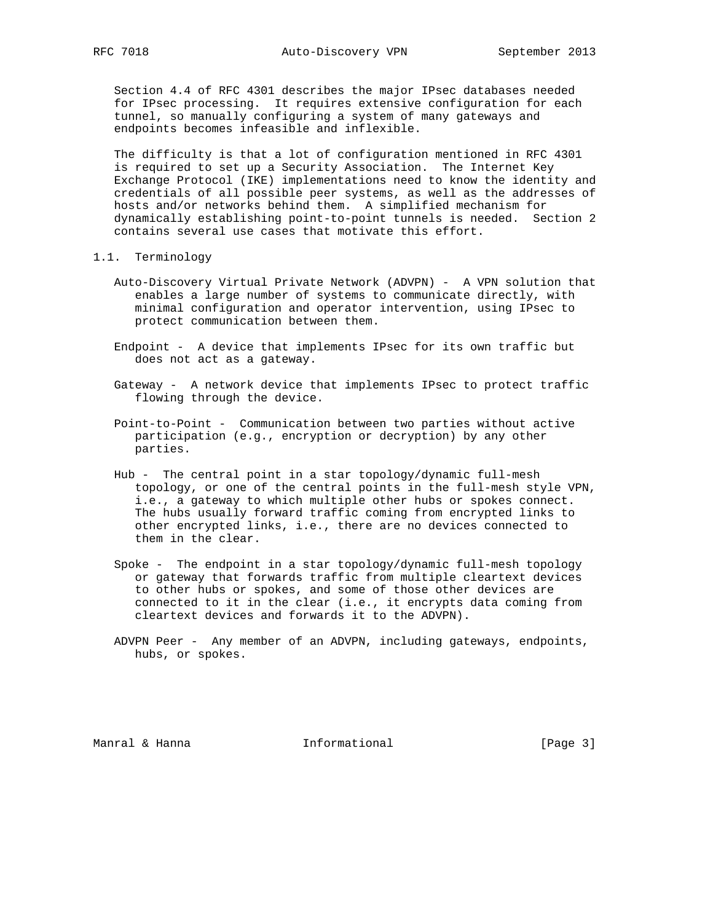Section 4.4 of RFC 4301 describes the major IPsec databases needed for IPsec processing. It requires extensive configuration for each tunnel, so manually configuring a system of many gateways and endpoints becomes infeasible and inflexible.

 The difficulty is that a lot of configuration mentioned in RFC 4301 is required to set up a Security Association. The Internet Key Exchange Protocol (IKE) implementations need to know the identity and credentials of all possible peer systems, as well as the addresses of hosts and/or networks behind them. A simplified mechanism for dynamically establishing point-to-point tunnels is needed. Section 2 contains several use cases that motivate this effort.

- 1.1. Terminology
	- Auto-Discovery Virtual Private Network (ADVPN) A VPN solution that enables a large number of systems to communicate directly, with minimal configuration and operator intervention, using IPsec to protect communication between them.
	- Endpoint A device that implements IPsec for its own traffic but does not act as a gateway.
	- Gateway A network device that implements IPsec to protect traffic flowing through the device.
	- Point-to-Point Communication between two parties without active participation (e.g., encryption or decryption) by any other parties.
	- Hub The central point in a star topology/dynamic full-mesh topology, or one of the central points in the full-mesh style VPN, i.e., a gateway to which multiple other hubs or spokes connect. The hubs usually forward traffic coming from encrypted links to other encrypted links, i.e., there are no devices connected to them in the clear.
	- Spoke The endpoint in a star topology/dynamic full-mesh topology or gateway that forwards traffic from multiple cleartext devices to other hubs or spokes, and some of those other devices are connected to it in the clear (i.e., it encrypts data coming from cleartext devices and forwards it to the ADVPN).
	- ADVPN Peer Any member of an ADVPN, including gateways, endpoints, hubs, or spokes.

Manral & Hanna **Informational Informational** [Page 3]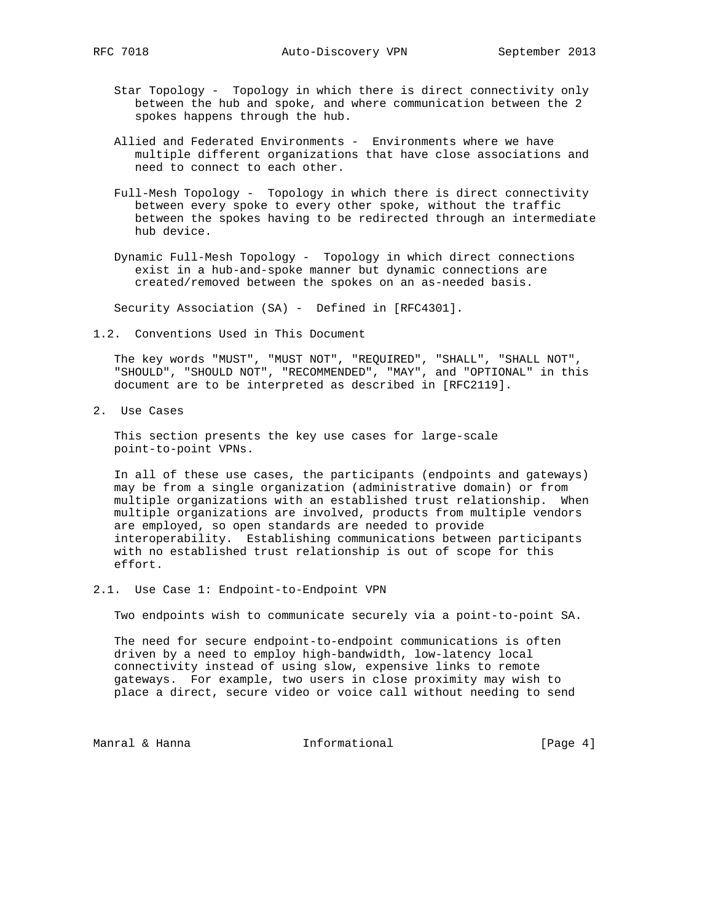- Star Topology Topology in which there is direct connectivity only between the hub and spoke, and where communication between the 2 spokes happens through the hub.
- Allied and Federated Environments Environments where we have multiple different organizations that have close associations and need to connect to each other.
- Full-Mesh Topology Topology in which there is direct connectivity between every spoke to every other spoke, without the traffic between the spokes having to be redirected through an intermediate hub device.
- Dynamic Full-Mesh Topology Topology in which direct connections exist in a hub-and-spoke manner but dynamic connections are created/removed between the spokes on an as-needed basis.

Security Association (SA) - Defined in [RFC4301].

1.2. Conventions Used in This Document

 The key words "MUST", "MUST NOT", "REQUIRED", "SHALL", "SHALL NOT", "SHOULD", "SHOULD NOT", "RECOMMENDED", "MAY", and "OPTIONAL" in this document are to be interpreted as described in [RFC2119].

2. Use Cases

 This section presents the key use cases for large-scale point-to-point VPNs.

 In all of these use cases, the participants (endpoints and gateways) may be from a single organization (administrative domain) or from multiple organizations with an established trust relationship. When multiple organizations are involved, products from multiple vendors are employed, so open standards are needed to provide interoperability. Establishing communications between participants with no established trust relationship is out of scope for this effort.

2.1. Use Case 1: Endpoint-to-Endpoint VPN

Two endpoints wish to communicate securely via a point-to-point SA.

 The need for secure endpoint-to-endpoint communications is often driven by a need to employ high-bandwidth, low-latency local connectivity instead of using slow, expensive links to remote gateways. For example, two users in close proximity may wish to place a direct, secure video or voice call without needing to send

Manral & Hanna **Informational Informational** [Page 4]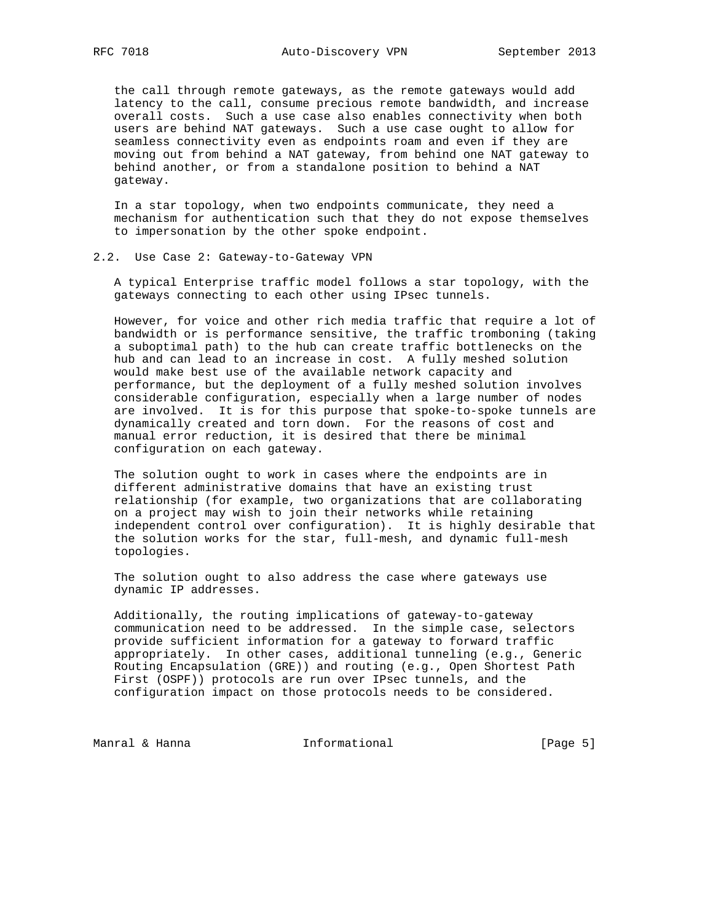the call through remote gateways, as the remote gateways would add latency to the call, consume precious remote bandwidth, and increase overall costs. Such a use case also enables connectivity when both users are behind NAT gateways. Such a use case ought to allow for seamless connectivity even as endpoints roam and even if they are moving out from behind a NAT gateway, from behind one NAT gateway to behind another, or from a standalone position to behind a NAT gateway.

 In a star topology, when two endpoints communicate, they need a mechanism for authentication such that they do not expose themselves to impersonation by the other spoke endpoint.

#### 2.2. Use Case 2: Gateway-to-Gateway VPN

 A typical Enterprise traffic model follows a star topology, with the gateways connecting to each other using IPsec tunnels.

 However, for voice and other rich media traffic that require a lot of bandwidth or is performance sensitive, the traffic tromboning (taking a suboptimal path) to the hub can create traffic bottlenecks on the hub and can lead to an increase in cost. A fully meshed solution would make best use of the available network capacity and performance, but the deployment of a fully meshed solution involves considerable configuration, especially when a large number of nodes are involved. It is for this purpose that spoke-to-spoke tunnels are dynamically created and torn down. For the reasons of cost and manual error reduction, it is desired that there be minimal configuration on each gateway.

 The solution ought to work in cases where the endpoints are in different administrative domains that have an existing trust relationship (for example, two organizations that are collaborating on a project may wish to join their networks while retaining independent control over configuration). It is highly desirable that the solution works for the star, full-mesh, and dynamic full-mesh topologies.

 The solution ought to also address the case where gateways use dynamic IP addresses.

 Additionally, the routing implications of gateway-to-gateway communication need to be addressed. In the simple case, selectors provide sufficient information for a gateway to forward traffic appropriately. In other cases, additional tunneling (e.g., Generic Routing Encapsulation (GRE)) and routing (e.g., Open Shortest Path First (OSPF)) protocols are run over IPsec tunnels, and the configuration impact on those protocols needs to be considered.

Manral & Hanna **Informational Informational** [Page 5]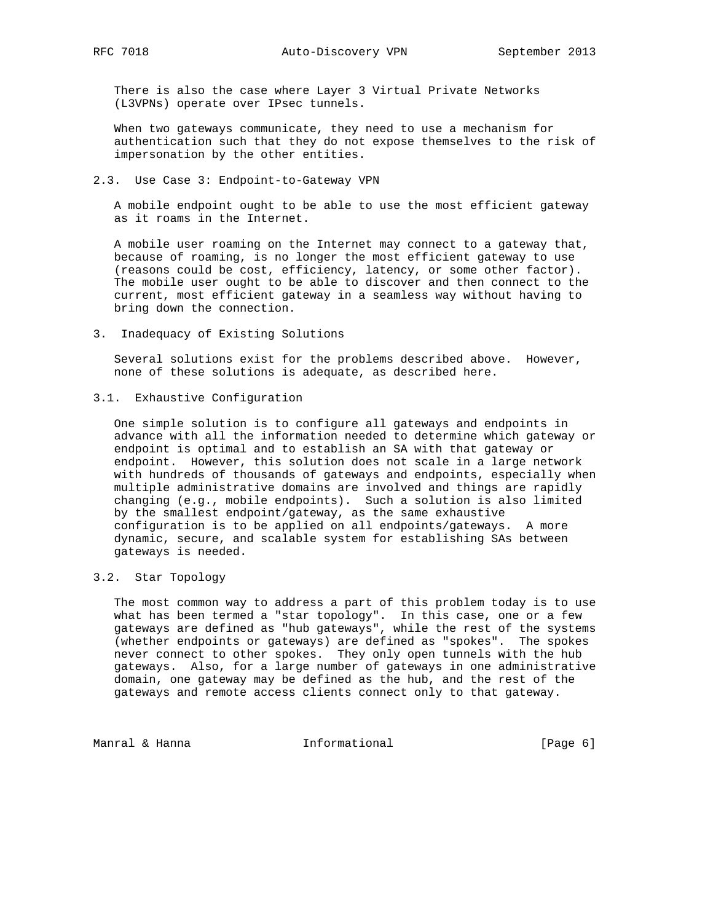There is also the case where Layer 3 Virtual Private Networks (L3VPNs) operate over IPsec tunnels.

 When two gateways communicate, they need to use a mechanism for authentication such that they do not expose themselves to the risk of impersonation by the other entities.

2.3. Use Case 3: Endpoint-to-Gateway VPN

 A mobile endpoint ought to be able to use the most efficient gateway as it roams in the Internet.

 A mobile user roaming on the Internet may connect to a gateway that, because of roaming, is no longer the most efficient gateway to use (reasons could be cost, efficiency, latency, or some other factor). The mobile user ought to be able to discover and then connect to the current, most efficient gateway in a seamless way without having to bring down the connection.

3. Inadequacy of Existing Solutions

 Several solutions exist for the problems described above. However, none of these solutions is adequate, as described here.

3.1. Exhaustive Configuration

 One simple solution is to configure all gateways and endpoints in advance with all the information needed to determine which gateway or endpoint is optimal and to establish an SA with that gateway or endpoint. However, this solution does not scale in a large network with hundreds of thousands of gateways and endpoints, especially when multiple administrative domains are involved and things are rapidly changing (e.g., mobile endpoints). Such a solution is also limited by the smallest endpoint/gateway, as the same exhaustive configuration is to be applied on all endpoints/gateways. A more dynamic, secure, and scalable system for establishing SAs between gateways is needed.

# 3.2. Star Topology

 The most common way to address a part of this problem today is to use what has been termed a "star topology". In this case, one or a few gateways are defined as "hub gateways", while the rest of the systems (whether endpoints or gateways) are defined as "spokes". The spokes never connect to other spokes. They only open tunnels with the hub gateways. Also, for a large number of gateways in one administrative domain, one gateway may be defined as the hub, and the rest of the gateways and remote access clients connect only to that gateway.

Manral & Hanna **Informational** 1. [Page 6]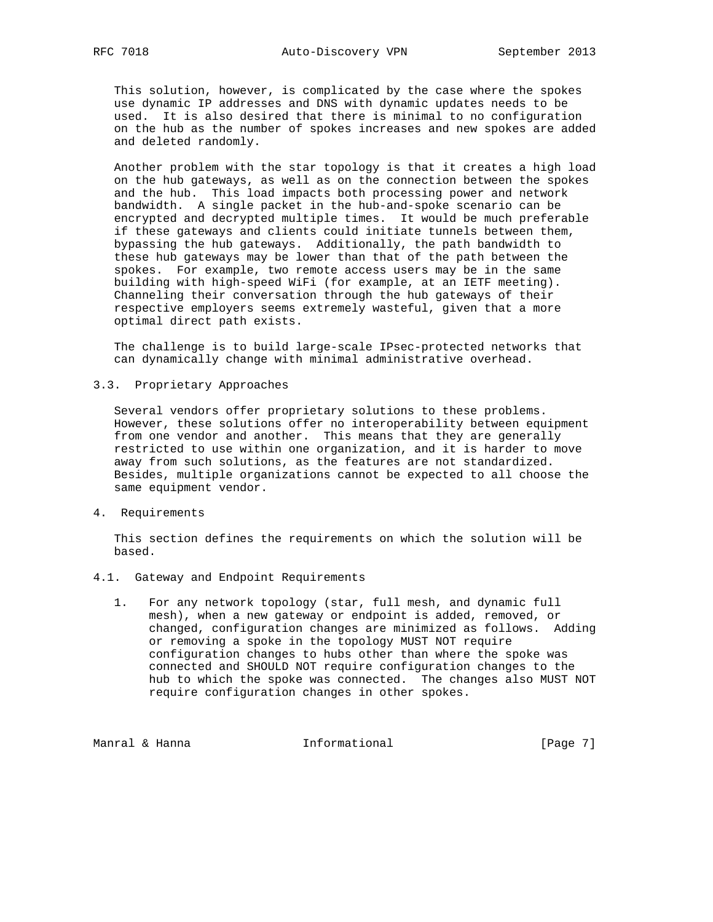This solution, however, is complicated by the case where the spokes use dynamic IP addresses and DNS with dynamic updates needs to be used. It is also desired that there is minimal to no configuration on the hub as the number of spokes increases and new spokes are added and deleted randomly.

 Another problem with the star topology is that it creates a high load on the hub gateways, as well as on the connection between the spokes and the hub. This load impacts both processing power and network bandwidth. A single packet in the hub-and-spoke scenario can be encrypted and decrypted multiple times. It would be much preferable if these gateways and clients could initiate tunnels between them, bypassing the hub gateways. Additionally, the path bandwidth to these hub gateways may be lower than that of the path between the spokes. For example, two remote access users may be in the same building with high-speed WiFi (for example, at an IETF meeting). Channeling their conversation through the hub gateways of their respective employers seems extremely wasteful, given that a more optimal direct path exists.

 The challenge is to build large-scale IPsec-protected networks that can dynamically change with minimal administrative overhead.

#### 3.3. Proprietary Approaches

 Several vendors offer proprietary solutions to these problems. However, these solutions offer no interoperability between equipment from one vendor and another. This means that they are generally restricted to use within one organization, and it is harder to move away from such solutions, as the features are not standardized. Besides, multiple organizations cannot be expected to all choose the same equipment vendor.

4. Requirements

 This section defines the requirements on which the solution will be based.

- 4.1. Gateway and Endpoint Requirements
	- 1. For any network topology (star, full mesh, and dynamic full mesh), when a new gateway or endpoint is added, removed, or changed, configuration changes are minimized as follows. Adding or removing a spoke in the topology MUST NOT require configuration changes to hubs other than where the spoke was connected and SHOULD NOT require configuration changes to the hub to which the spoke was connected. The changes also MUST NOT require configuration changes in other spokes.

Manral & Hanna **Informational Informational** [Page 7]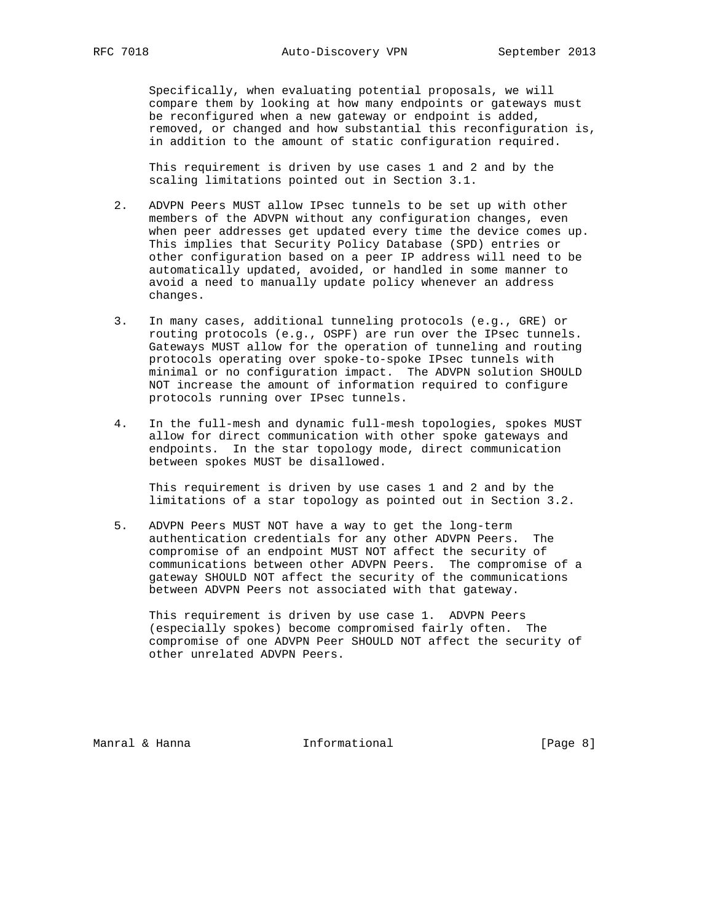Specifically, when evaluating potential proposals, we will compare them by looking at how many endpoints or gateways must be reconfigured when a new gateway or endpoint is added, removed, or changed and how substantial this reconfiguration is, in addition to the amount of static configuration required.

 This requirement is driven by use cases 1 and 2 and by the scaling limitations pointed out in Section 3.1.

- 2. ADVPN Peers MUST allow IPsec tunnels to be set up with other members of the ADVPN without any configuration changes, even when peer addresses get updated every time the device comes up. This implies that Security Policy Database (SPD) entries or other configuration based on a peer IP address will need to be automatically updated, avoided, or handled in some manner to avoid a need to manually update policy whenever an address changes.
- 3. In many cases, additional tunneling protocols (e.g., GRE) or routing protocols (e.g., OSPF) are run over the IPsec tunnels. Gateways MUST allow for the operation of tunneling and routing protocols operating over spoke-to-spoke IPsec tunnels with minimal or no configuration impact. The ADVPN solution SHOULD NOT increase the amount of information required to configure protocols running over IPsec tunnels.
- 4. In the full-mesh and dynamic full-mesh topologies, spokes MUST allow for direct communication with other spoke gateways and endpoints. In the star topology mode, direct communication between spokes MUST be disallowed.

 This requirement is driven by use cases 1 and 2 and by the limitations of a star topology as pointed out in Section 3.2.

 5. ADVPN Peers MUST NOT have a way to get the long-term authentication credentials for any other ADVPN Peers. The compromise of an endpoint MUST NOT affect the security of communications between other ADVPN Peers. The compromise of a gateway SHOULD NOT affect the security of the communications between ADVPN Peers not associated with that gateway.

 This requirement is driven by use case 1. ADVPN Peers (especially spokes) become compromised fairly often. The compromise of one ADVPN Peer SHOULD NOT affect the security of other unrelated ADVPN Peers.

Manral & Hanna **Informational Informational** [Page 8]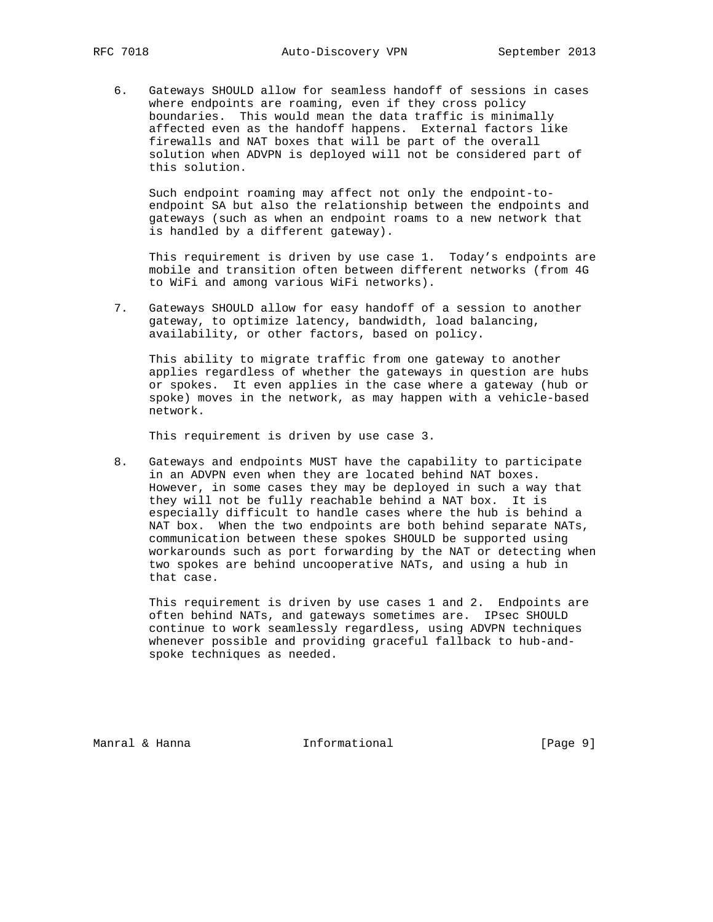6. Gateways SHOULD allow for seamless handoff of sessions in cases where endpoints are roaming, even if they cross policy boundaries. This would mean the data traffic is minimally affected even as the handoff happens. External factors like firewalls and NAT boxes that will be part of the overall solution when ADVPN is deployed will not be considered part of this solution.

 Such endpoint roaming may affect not only the endpoint-to endpoint SA but also the relationship between the endpoints and gateways (such as when an endpoint roams to a new network that is handled by a different gateway).

 This requirement is driven by use case 1. Today's endpoints are mobile and transition often between different networks (from 4G to WiFi and among various WiFi networks).

 7. Gateways SHOULD allow for easy handoff of a session to another gateway, to optimize latency, bandwidth, load balancing, availability, or other factors, based on policy.

 This ability to migrate traffic from one gateway to another applies regardless of whether the gateways in question are hubs or spokes. It even applies in the case where a gateway (hub or spoke) moves in the network, as may happen with a vehicle-based network.

This requirement is driven by use case 3.

 8. Gateways and endpoints MUST have the capability to participate in an ADVPN even when they are located behind NAT boxes. However, in some cases they may be deployed in such a way that they will not be fully reachable behind a NAT box. It is especially difficult to handle cases where the hub is behind a NAT box. When the two endpoints are both behind separate NATs, communication between these spokes SHOULD be supported using workarounds such as port forwarding by the NAT or detecting when two spokes are behind uncooperative NATs, and using a hub in that case.

 This requirement is driven by use cases 1 and 2. Endpoints are often behind NATs, and gateways sometimes are. IPsec SHOULD continue to work seamlessly regardless, using ADVPN techniques whenever possible and providing graceful fallback to hub-and spoke techniques as needed.

Manral & Hanna **Informational** 1. [Page 9]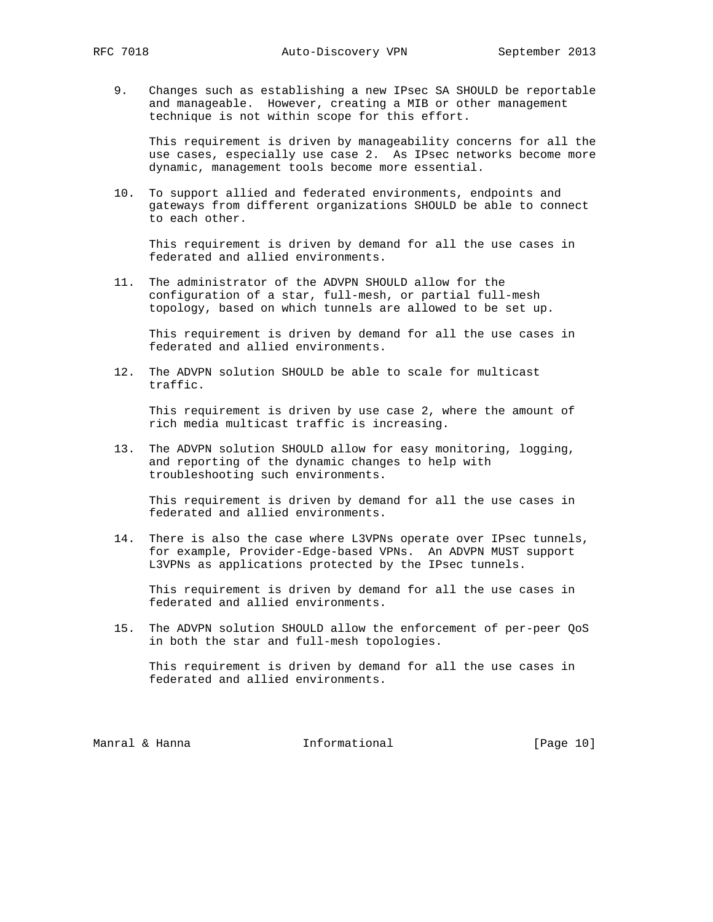9. Changes such as establishing a new IPsec SA SHOULD be reportable and manageable. However, creating a MIB or other management technique is not within scope for this effort.

 This requirement is driven by manageability concerns for all the use cases, especially use case 2. As IPsec networks become more dynamic, management tools become more essential.

 10. To support allied and federated environments, endpoints and gateways from different organizations SHOULD be able to connect to each other.

 This requirement is driven by demand for all the use cases in federated and allied environments.

 11. The administrator of the ADVPN SHOULD allow for the configuration of a star, full-mesh, or partial full-mesh topology, based on which tunnels are allowed to be set up.

 This requirement is driven by demand for all the use cases in federated and allied environments.

 12. The ADVPN solution SHOULD be able to scale for multicast traffic.

 This requirement is driven by use case 2, where the amount of rich media multicast traffic is increasing.

 13. The ADVPN solution SHOULD allow for easy monitoring, logging, and reporting of the dynamic changes to help with troubleshooting such environments.

 This requirement is driven by demand for all the use cases in federated and allied environments.

 14. There is also the case where L3VPNs operate over IPsec tunnels, for example, Provider-Edge-based VPNs. An ADVPN MUST support L3VPNs as applications protected by the IPsec tunnels.

 This requirement is driven by demand for all the use cases in federated and allied environments.

 15. The ADVPN solution SHOULD allow the enforcement of per-peer QoS in both the star and full-mesh topologies.

 This requirement is driven by demand for all the use cases in federated and allied environments.

Manral & Hanna **Informational Informational** [Page 10]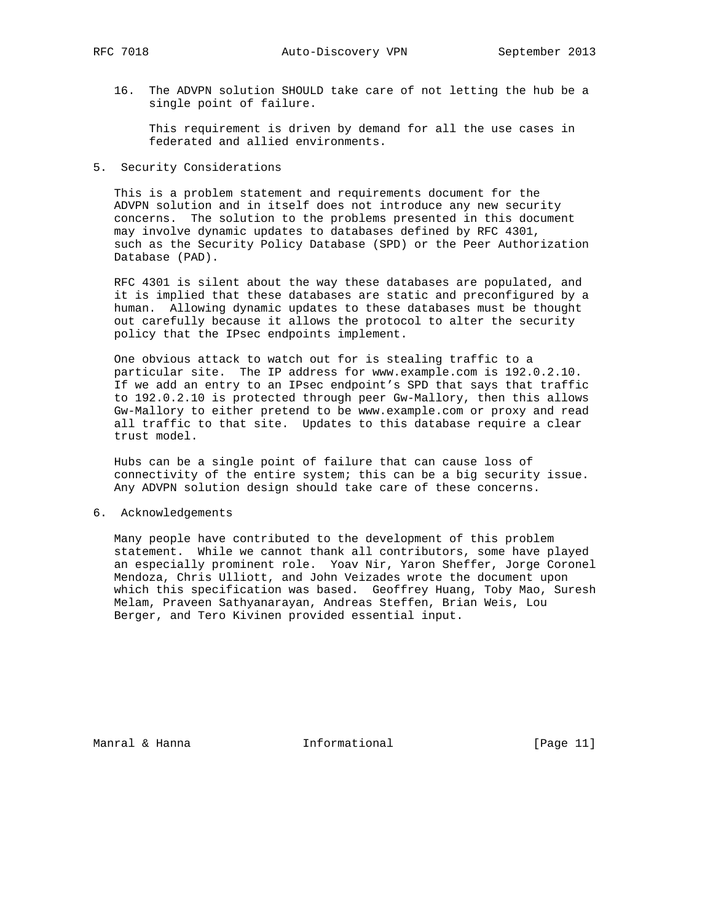16. The ADVPN solution SHOULD take care of not letting the hub be a single point of failure.

 This requirement is driven by demand for all the use cases in federated and allied environments.

5. Security Considerations

 This is a problem statement and requirements document for the ADVPN solution and in itself does not introduce any new security concerns. The solution to the problems presented in this document may involve dynamic updates to databases defined by RFC 4301, such as the Security Policy Database (SPD) or the Peer Authorization Database (PAD).

 RFC 4301 is silent about the way these databases are populated, and it is implied that these databases are static and preconfigured by a human. Allowing dynamic updates to these databases must be thought out carefully because it allows the protocol to alter the security policy that the IPsec endpoints implement.

 One obvious attack to watch out for is stealing traffic to a particular site. The IP address for www.example.com is 192.0.2.10. If we add an entry to an IPsec endpoint's SPD that says that traffic to 192.0.2.10 is protected through peer Gw-Mallory, then this allows Gw-Mallory to either pretend to be www.example.com or proxy and read all traffic to that site. Updates to this database require a clear trust model.

 Hubs can be a single point of failure that can cause loss of connectivity of the entire system; this can be a big security issue. Any ADVPN solution design should take care of these concerns.

6. Acknowledgements

 Many people have contributed to the development of this problem statement. While we cannot thank all contributors, some have played an especially prominent role. Yoav Nir, Yaron Sheffer, Jorge Coronel Mendoza, Chris Ulliott, and John Veizades wrote the document upon which this specification was based. Geoffrey Huang, Toby Mao, Suresh Melam, Praveen Sathyanarayan, Andreas Steffen, Brian Weis, Lou Berger, and Tero Kivinen provided essential input.

Manral & Hanna **Informational** [Page 11]